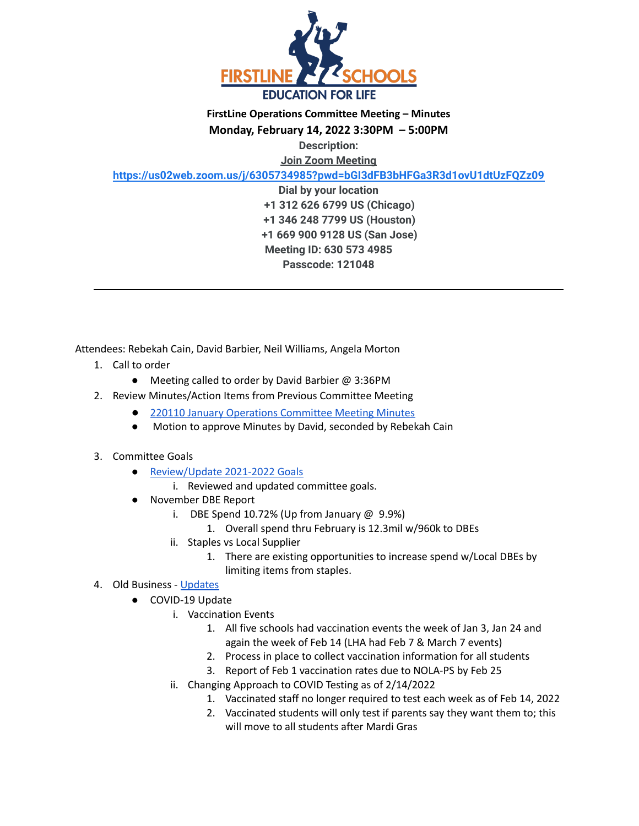

**Monday, February 14, 2022 3:30PM – 5:00PM**

**Description:**

**Join Zoom Meeting**

**<https://us02web.zoom.us/j/6305734985?pwd=bGI3dFB3bHFGa3R3d1ovU1dtUzFQZz09>**

**Dial by your location +1 312 626 6799 US (Chicago) +1 346 248 7799 US (Houston) +1 669 900 9128 US (San Jose) Meeting ID: 630 573 4985 Passcode: 121048**

Attendees: Rebekah Cain, David Barbier, Neil Williams, Angela Morton

- 1. Call to order
	- Meeting called to order by David Barbier @ 3:36PM
- 2. Review Minutes/Action Items from Previous Committee Meeting
	- 220110 January Operations [Committee](https://docs.google.com/document/d/1R_S0wiLXiWERvYNnXOCdJTpHxSZVSEkoF_PjjO91LLs/edit?usp=sharing) Meeting Minutes
	- Motion to approve Minutes by David, seconded by Rebekah Cain

## 3. Committee Goals

- [Review/Update](https://docs.google.com/presentation/d/1szzimlVQyyg6ZqGUjh438nqx70TTQ0wHuhtAm6iDDhY/edit#slide=id.g55739ec826_0_19) 2021-2022 Goals
	- i. Reviewed and updated committee goals.
- November DBE Report
	- i. DBE Spend 10.72% (Up from January  $\omega$  9.9%)
		- 1. Overall spend thru February is 12.3mil w/960k to DBEs
	- ii. Staples vs Local Supplier
		- 1. There are existing opportunities to increase spend w/Local DBEs by limiting items from staples.
- 4. Old Business [Updates](https://docs.google.com/presentation/d/12LGFd96bbDJbp5W3Fbckr-I8mP5q6RxZu-lbORZNvGk/edit#slide=id.g919491b6f9_0_0)
	- COVID-19 Update
		- i. Vaccination Events
			- 1. All five schools had vaccination events the week of Jan 3, Jan 24 and again the week of Feb 14 (LHA had Feb 7 & March 7 events)
			- 2. Process in place to collect vaccination information for all students
			- 3. Report of Feb 1 vaccination rates due to NOLA-PS by Feb 25
		- ii. Changing Approach to COVID Testing as of 2/14/2022
			- 1. Vaccinated staff no longer required to test each week as of Feb 14, 2022
			- 2. Vaccinated students will only test if parents say they want them to; this will move to all students after Mardi Gras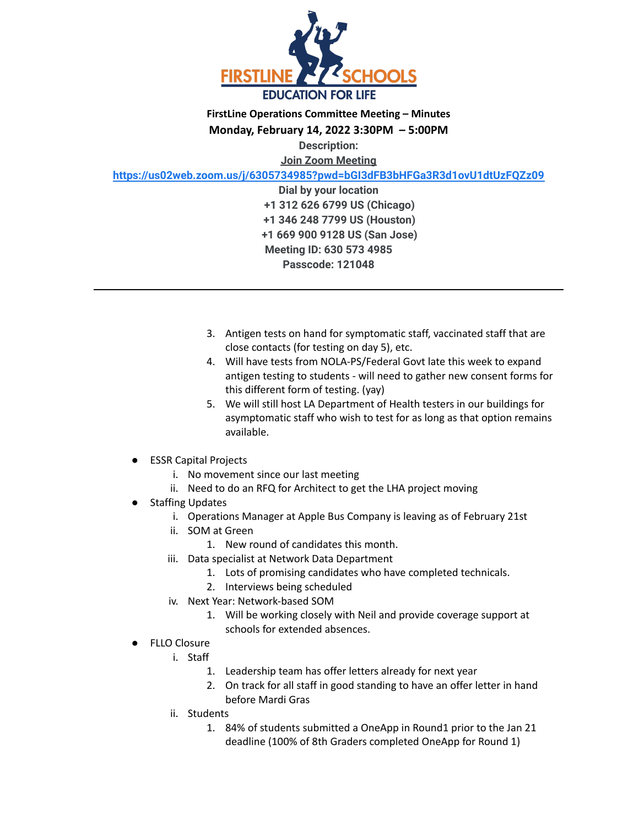

**Monday, February 14, 2022 3:30PM – 5:00PM**

**Description:**

**Join Zoom Meeting**

**<https://us02web.zoom.us/j/6305734985?pwd=bGI3dFB3bHFGa3R3d1ovU1dtUzFQZz09>**

**Dial by your location +1 312 626 6799 US (Chicago) +1 346 248 7799 US (Houston) +1 669 900 9128 US (San Jose) Meeting ID: 630 573 4985 Passcode: 121048**

- 3. Antigen tests on hand for symptomatic staff, vaccinated staff that are close contacts (for testing on day 5), etc.
- 4. Will have tests from NOLA-PS/Federal Govt late this week to expand antigen testing to students - will need to gather new consent forms for this different form of testing. (yay)
- 5. We will still host LA Department of Health testers in our buildings for asymptomatic staff who wish to test for as long as that option remains available.
- **ESSR Capital Projects** 
	- i. No movement since our last meeting
	- ii. Need to do an RFQ for Architect to get the LHA project moving
- Staffing Updates
	- i. Operations Manager at Apple Bus Company is leaving as of February 21st
	- ii. SOM at Green
		- 1. New round of candidates this month.
	- iii. Data specialist at Network Data Department
		- 1. Lots of promising candidates who have completed technicals.
		- 2. Interviews being scheduled
	- iv. Next Year: Network-based SOM
		- 1. Will be working closely with Neil and provide coverage support at schools for extended absences.
- **FLLO Closure** 
	- i. Staff
		- 1. Leadership team has offer letters already for next year
		- 2. On track for all staff in good standing to have an offer letter in hand before Mardi Gras
	- ii. Students
		- 1. 84% of students submitted a OneApp in Round1 prior to the Jan 21 deadline (100% of 8th Graders completed OneApp for Round 1)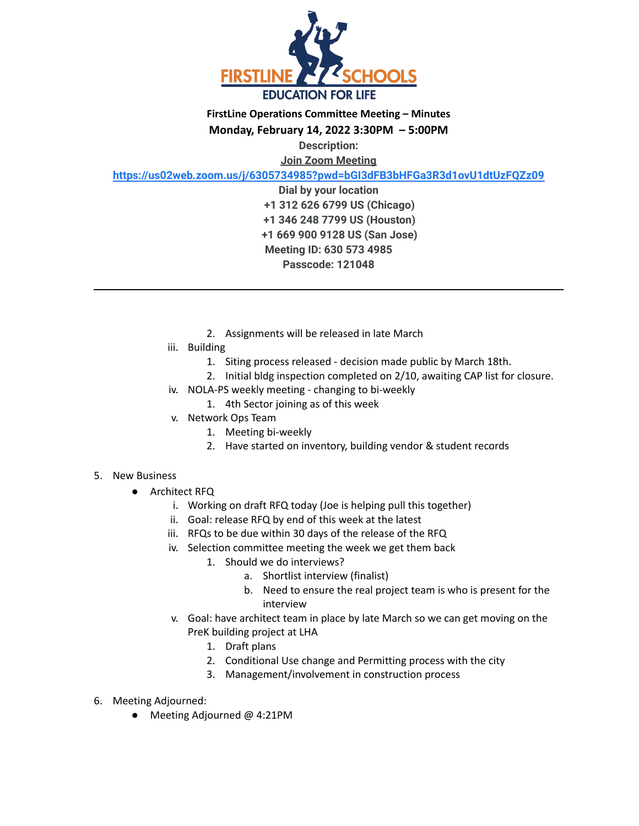

**Monday, February 14, 2022 3:30PM – 5:00PM**

**Description:**

**Join Zoom Meeting**

**<https://us02web.zoom.us/j/6305734985?pwd=bGI3dFB3bHFGa3R3d1ovU1dtUzFQZz09>**

**Dial by your location +1 312 626 6799 US (Chicago) +1 346 248 7799 US (Houston) +1 669 900 9128 US (San Jose) Meeting ID: 630 573 4985 Passcode: 121048**

- 2. Assignments will be released in late March
- iii. Building
	- 1. Siting process released decision made public by March 18th.
	- 2. Initial bldg inspection completed on 2/10, awaiting CAP list for closure.
- iv. NOLA-PS weekly meeting changing to bi-weekly
	- 1. 4th Sector joining as of this week
- v. Network Ops Team
	- 1. Meeting bi-weekly
	- 2. Have started on inventory, building vendor & student records

## 5. New Business

- Architect RFQ
	- i. Working on draft RFQ today (Joe is helping pull this together)
	- ii. Goal: release RFQ by end of this week at the latest
	- iii. RFQs to be due within 30 days of the release of the RFQ
	- iv. Selection committee meeting the week we get them back
		- 1. Should we do interviews?
			- a. Shortlist interview (finalist)
			- b. Need to ensure the real project team is who is present for the interview
	- v. Goal: have architect team in place by late March so we can get moving on the PreK building project at LHA
		- 1. Draft plans
		- 2. Conditional Use change and Permitting process with the city
		- 3. Management/involvement in construction process
- 6. Meeting Adjourned:
	- Meeting Adjourned @ 4:21PM